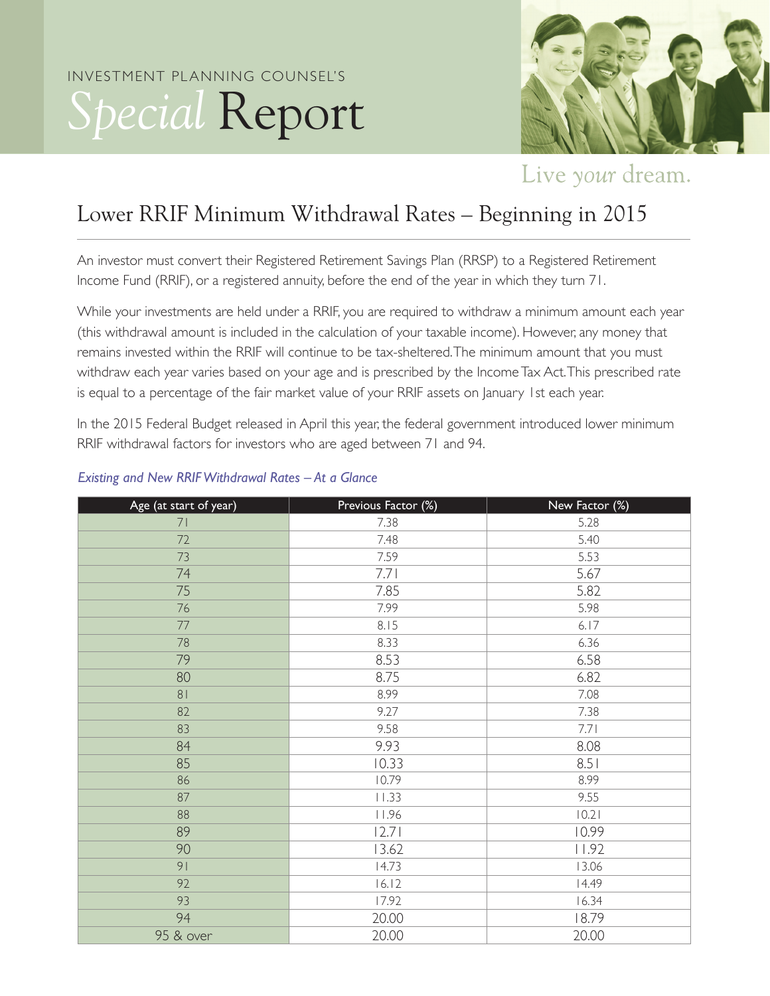## INVESTMENT PL ANNING COUNSEL'S *Special* Report



Live your dream.

## Lower RRIF Minimum Withdrawal Rates – Beginning in 2015

An investor must convert their Registered Retirement Savings Plan (RRSP) to a Registered Retirement Income Fund (RRIF), or a registered annuity, before the end of the year in which they turn 71.

While your investments are held under a RRIF, you are required to withdraw a minimum amount each year (this withdrawal amount is included in the calculation of your taxable income). However, any money that remains invested within the RRIF will continue to be tax-sheltered. The minimum amount that you must withdraw each year varies based on your age and is prescribed by the Income Tax Act. This prescribed rate is equal to a percentage of the fair market value of your RRIF assets on January 1st each year.

In the 2015 Federal Budget released in April this year, the federal government introduced lower minimum RRIF withdrawal factors for investors who are aged between 71 and 94.

| Age (at start of year) | Previous Factor (%) | New Factor (%) |
|------------------------|---------------------|----------------|
| 71                     | 7.38                | 5.28           |
| 72                     | 7.48                | 5.40           |
| 73                     | 7.59                | 5.53           |
| 74                     | 7.71                | 5.67           |
| 75                     | 7.85                | 5.82           |
| 76                     | 7.99                | 5.98           |
| $77\,$                 | 8.15                | 6.17           |
| 78                     | 8.33                | 6.36           |
| 79                     | 8.53                | 6.58           |
| 80                     | 8.75                | 6.82           |
| $8\,$ l                | 8.99                | 7.08           |
| 82                     | 9.27                | 7.38           |
| 83                     | 9.58                | 7.71           |
| 84                     | 9.93                | 8.08           |
| 85                     | 10.33               | 8.51           |
| 86                     | 10.79               | 8.99           |
| 87                     | 11.33               | 9.55           |
| 88                     | 11.96               | 10.21          |
| 89                     | 12.71               | 10.99          |
| 90                     | 13.62               | 11.92          |
| 9 <sub>1</sub>         | 14.73               | 13.06          |
| 92                     | 16.12               | 14.49          |
| 93                     | 17.92               | 16.34          |
| 94                     | 20.00               | 18.79          |
| 95 & over              | 20.00               | 20.00          |

## *Existing and New RRIF Withdrawal Rates – At a Glance*